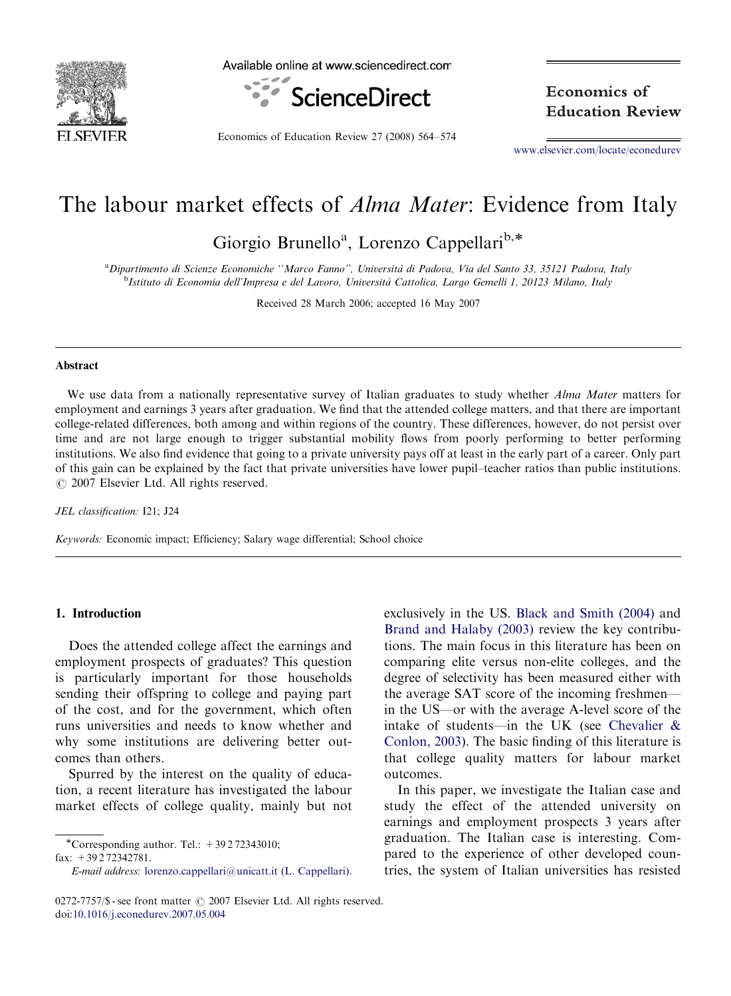

Available online at www.sciencedirect.com



Economics of Education Review 27 (2008) 564–574

Economics of **Education Review** 

<www.elsevier.com/locate/econedurev>

## The labour market effects of *Alma Mater*: Evidence from Italy

Giorgio Brunello<sup>a</sup>, Lorenzo Cappellari<sup>b,\*</sup>

a Dipartimento di Scienze Economiche ''Marco Fanno'', Universita` di Padova, Via del Santo 33, 35121 Padova, Italy <sup>b</sup>Istituto di Economia dell'Impresa e del Lavoro, Università Cattolica, Largo Gemelli 1, 20123 Milano, Italy

Received 28 March 2006; accepted 16 May 2007

#### Abstract

We use data from a nationally representative survey of Italian graduates to study whether *Alma Mater* matters for employment and earnings 3 years after graduation. We find that the attended college matters, and that there are important college-related differences, both among and within regions of the country. These differences, however, do not persist over time and are not large enough to trigger substantial mobility flows from poorly performing to better performing institutions. We also find evidence that going to a private university pays off at least in the early part of a career. Only part of this gain can be explained by the fact that private universities have lower pupil–teacher ratios than public institutions.  $O$  2007 Elsevier Ltd. All rights reserved.

JEL classification: I21; J24

Keywords: Economic impact; Efficiency; Salary wage differential; School choice

#### 1. Introduction

Does the attended college affect the earnings and employment prospects of graduates? This question is particularly important for those households sending their offspring to college and paying part of the cost, and for the government, which often runs universities and needs to know whether and why some institutions are delivering better outcomes than others.

Spurred by the interest on the quality of education, a recent literature has investigated the labour market effects of college quality, mainly but not

fax: +39 2 72342781.

E-mail address: [lorenzo.cappellari@unicatt.it \(L. Cappellari\).](mailto:lorenzo.cappellari@unicatt.it)

exclusively in the US. [Black and Smith \(2004\)](#page--1-0) and [Brand and Halaby \(2003\)](#page--1-0) review the key contributions. The main focus in this literature has been on comparing elite versus non-elite colleges, and the degree of selectivity has been measured either with the average SAT score of the incoming freshmen in the US—or with the average A-level score of the intake of students—in the UK (see [Chevalier &](#page--1-0) [Conlon, 2003\)](#page--1-0). The basic finding of this literature is that college quality matters for labour market outcomes.

In this paper, we investigate the Italian case and study the effect of the attended university on earnings and employment prospects 3 years after graduation. The Italian case is interesting. Compared to the experience of other developed countries, the system of Italian universities has resisted

<sup>-</sup>Corresponding author. Tel.: +39 2 72343010;

<sup>0272-7757/\$ -</sup> see front matter  $\odot$  2007 Elsevier Ltd. All rights reserved. doi[:10.1016/j.econedurev.2007.05.004](dx.doi.org/10.1016/j.econedurev.2007.05.004)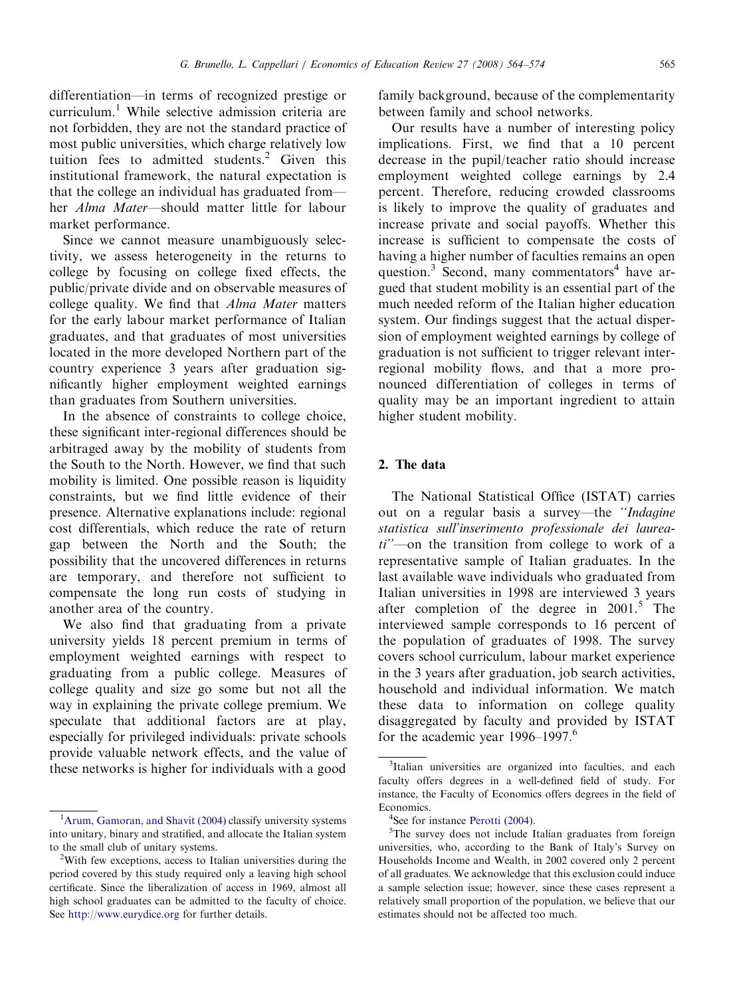differentiation—in terms of recognized prestige or curriculum.<sup>1</sup> While selective admission criteria are not forbidden, they are not the standard practice of most public universities, which charge relatively low tuition fees to admitted students.<sup>2</sup> Given this institutional framework, the natural expectation is that the college an individual has graduated from her Alma Mater—should matter little for labour market performance.

Since we cannot measure unambiguously selectivity, we assess heterogeneity in the returns to college by focusing on college fixed effects, the public/private divide and on observable measures of college quality. We find that Alma Mater matters for the early labour market performance of Italian graduates, and that graduates of most universities located in the more developed Northern part of the country experience 3 years after graduation significantly higher employment weighted earnings than graduates from Southern universities.

In the absence of constraints to college choice, these significant inter-regional differences should be arbitraged away by the mobility of students from the South to the North. However, we find that such mobility is limited. One possible reason is liquidity constraints, but we find little evidence of their presence. Alternative explanations include: regional cost differentials, which reduce the rate of return gap between the North and the South; the possibility that the uncovered differences in returns are temporary, and therefore not sufficient to compensate the long run costs of studying in another area of the country.

We also find that graduating from a private university yields 18 percent premium in terms of employment weighted earnings with respect to graduating from a public college. Measures of college quality and size go some but not all the way in explaining the private college premium. We speculate that additional factors are at play, especially for privileged individuals: private schools provide valuable network effects, and the value of these networks is higher for individuals with a good

family background, because of the complementarity between family and school networks.

Our results have a number of interesting policy implications. First, we find that a 10 percent decrease in the pupil/teacher ratio should increase employment weighted college earnings by 2.4 percent. Therefore, reducing crowded classrooms is likely to improve the quality of graduates and increase private and social payoffs. Whether this increase is sufficient to compensate the costs of having a higher number of faculties remains an open question. $3$  Second, many commentators<sup>4</sup> have argued that student mobility is an essential part of the much needed reform of the Italian higher education system. Our findings suggest that the actual dispersion of employment weighted earnings by college of graduation is not sufficient to trigger relevant interregional mobility flows, and that a more pronounced differentiation of colleges in terms of quality may be an important ingredient to attain higher student mobility.

### 2. The data

The National Statistical Office (ISTAT) carries out on a regular basis a survey—the ''Indagine statistica sull'inserimento professionale dei laurea $ti''$ —on the transition from college to work of a representative sample of Italian graduates. In the last available wave individuals who graduated from Italian universities in 1998 are interviewed 3 years after completion of the degree in  $2001$ <sup>5</sup>. The interviewed sample corresponds to 16 percent of the population of graduates of 1998. The survey covers school curriculum, labour market experience in the 3 years after graduation, job search activities, household and individual information. We match these data to information on college quality disaggregated by faculty and provided by ISTAT for the academic year 1996–1997.<sup>6</sup>

<sup>&</sup>lt;sup>1</sup>[Arum, Gamoran, and Shavit \(2004\)](#page--1-0) classify university systems into unitary, binary and stratified, and allocate the Italian system to the small club of unitary systems.

<sup>&</sup>lt;sup>2</sup>With few exceptions, access to Italian universities during the period covered by this study required only a leaving high school certificate. Since the liberalization of access in 1969, almost all high school graduates can be admitted to the faculty of choice. See <http://www.eurydice.org> for further details.

<sup>&</sup>lt;sup>3</sup>Italian universities are organized into faculties, and each faculty offers degrees in a well-defined field of study. For instance, the Faculty of Economics offers degrees in the field of Economics.

 $4$ See for instance Perotti (2004).

<sup>&</sup>lt;sup>5</sup>See for instance [Perotti \(2004\).](#page--1-0)<br><sup>5</sup>The survey does not include Italian graduates from foreign universities, who, according to the Bank of Italy's Survey on Households Income and Wealth, in 2002 covered only 2 percent of all graduates. We acknowledge that this exclusion could induce a sample selection issue; however, since these cases represent a relatively small proportion of the population, we believe that our estimates should not be affected too much.